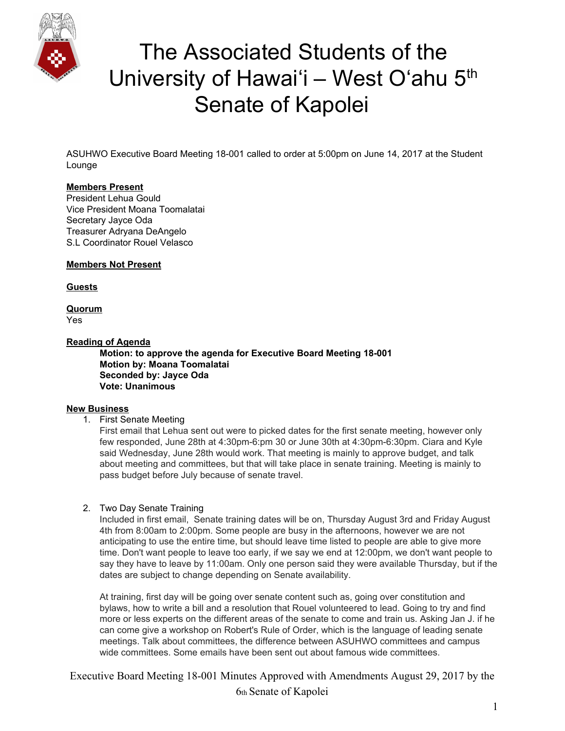

# The Associated Students of the University of Hawai'i – West O'ahu 5<sup>th</sup> Senate of Kapolei

ASUHWO Executive Board Meeting 18-001 called to order at 5:00pm on June 14, 2017 at the Student Lounge

#### **Members Present**

President Lehua Gould Vice President Moana Toomalatai Secretary Jayce Oda Treasurer Adryana DeAngelo S.L Coordinator Rouel Velasco

**Members Not Present**

**Guests**

**Quorum** Yes

#### **Reading of Agenda**

**Motion: to approve the agenda for Executive Board Meeting 18-001 Motion by: Moana Toomalatai Seconded by: Jayce Oda Vote: Unanimous**

#### **New Business**

1. First Senate Meeting

First email that Lehua sent out were to picked dates for the first senate meeting, however only few responded, June 28th at 4:30pm-6:pm 30 or June 30th at 4:30pm-6:30pm. Ciara and Kyle said Wednesday, June 28th would work. That meeting is mainly to approve budget, and talk about meeting and committees, but that will take place in senate training. Meeting is mainly to pass budget before July because of senate travel.

2. Two Day Senate Training

Included in first email, Senate training dates will be on, Thursday August 3rd and Friday August 4th from 8:00am to 2:00pm. Some people are busy in the afternoons, however we are not anticipating to use the entire time, but should leave time listed to people are able to give more time. Don't want people to leave too early, if we say we end at 12:00pm, we don't want people to say they have to leave by 11:00am. Only one person said they were available Thursday, but if the dates are subject to change depending on Senate availability.

At training, first day will be going over senate content such as, going over constitution and bylaws, how to write a bill and a resolution that Rouel volunteered to lead. Going to try and find more or less experts on the different areas of the senate to come and train us. Asking Jan J. if he can come give a workshop on Robert's Rule of Order, which is the language of leading senate meetings. Talk about committees, the difference between ASUHWO committees and campus wide committees. Some emails have been sent out about famous wide committees.

Executive Board Meeting 18-001 Minutes Approved with Amendments August 29, 2017 by the 6th Senate of Kapolei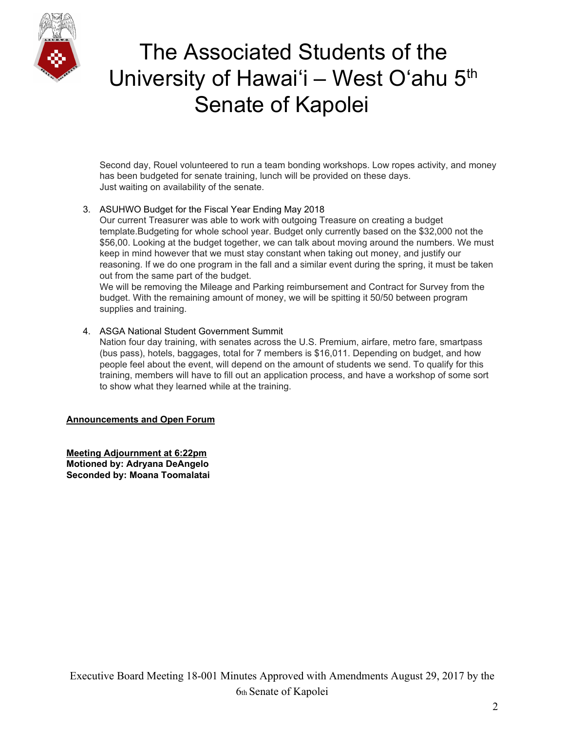

# The Associated Students of the University of Hawai'i – West O'ahu 5<sup>th</sup> Senate of Kapolei

Second day, Rouel volunteered to run a team bonding workshops. Low ropes activity, and money has been budgeted for senate training, lunch will be provided on these days. Just waiting on availability of the senate.

### 3. ASUHWO Budget for the Fiscal Year Ending May 2018

Our current Treasurer was able to work with outgoing Treasure on creating a budget template.Budgeting for whole school year. Budget only currently based on the \$32,000 not the \$56,00. Looking at the budget together, we can talk about moving around the numbers. We must keep in mind however that we must stay constant when taking out money, and justify our reasoning. If we do one program in the fall and a similar event during the spring, it must be taken out from the same part of the budget.

We will be removing the Mileage and Parking reimbursement and Contract for Survey from the budget. With the remaining amount of money, we will be spitting it 50/50 between program supplies and training.

### 4. ASGA National Student Government Summit

Nation four day training, with senates across the U.S. Premium, airfare, metro fare, smartpass (bus pass), hotels, baggages, total for 7 members is \$16,011. Depending on budget, and how people feel about the event, will depend on the amount of students we send. To qualify for this training, members will have to fill out an application process, and have a workshop of some sort to show what they learned while at the training.

#### **Announcements and Open Forum**

**Meeting Adjournment at 6:22pm Motioned by: Adryana DeAngelo Seconded by: Moana Toomalatai**